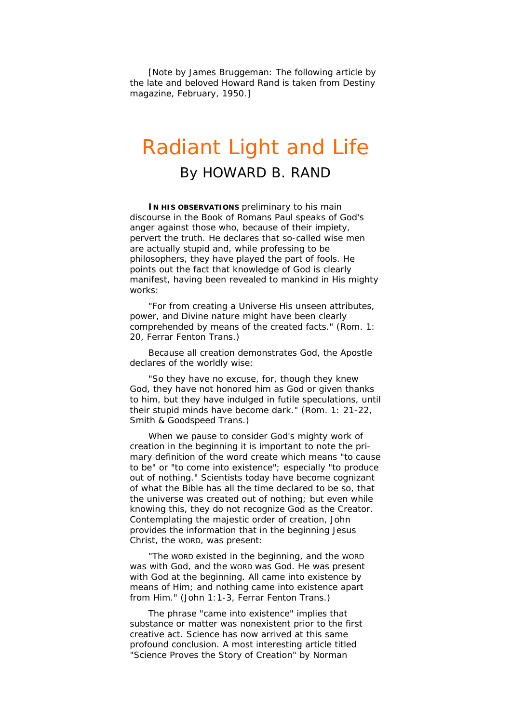[Note by James Bruggeman: The following article by the late and beloved Howard Rand is taken from *Destiny* magazine, February, 1950.]

## Radiant Light and Life

By HOWARD B. RAND

**IN HIS OBSERVATIONS** preliminary to his main discourse in the Book of Romans Paul speaks of God's anger against those who, because of their impiety, pervert the truth. He declares that so-called wise men are actually stupid and, while professing to be philosophers, they have played the part of fools. He points out the fact that knowledge of God is clearly manifest, having been revealed to mankind in His mighty works:

"For from creating a Universe His unseen attributes, power, and Divine nature might have been clearly comprehended by means of the created facts." (Rom. 1: 20, *Ferrar Fenton Trans.)*

Because all creation demonstrates God, the Apostle declares of the worldly wise:

"So they have no excuse, for, though they knew God, they have not honored him as God or given thanks to him, but they have indulged in futile speculations, until their stupid minds have become dark." (Rom. 1: 21-22, *Smith & Goodspeed Trans.)*

When we pause to consider God's mighty work of creation in the beginning it is important to note the primary definition of the word create which means "to cause to be" or "to come into existence"; especially "to produce out of nothing." Scientists today have become cognizant of what the Bible has all the time declared to be so, that the universe was created out of nothing; but even while knowing this, they do not recognize God as the Creator. Contemplating the majestic order of creation, John provides the information that in the beginning Jesus Christ, the WORD, was present:

"The WORD existed in the beginning, and the WORD was with God, and the WORD was God. He was present with God at the beginning. All came into existence by means of Him; and nothing came into existence apart from Him." (John 1:1-3, *Ferrar Fenton Trans.)*

The phrase "came into existence" implies that substance or matter was nonexistent prior to the first creative act. Science has now arrived at this same profound conclusion. A most interesting article titled "Science Proves the Story of Creation" by Norman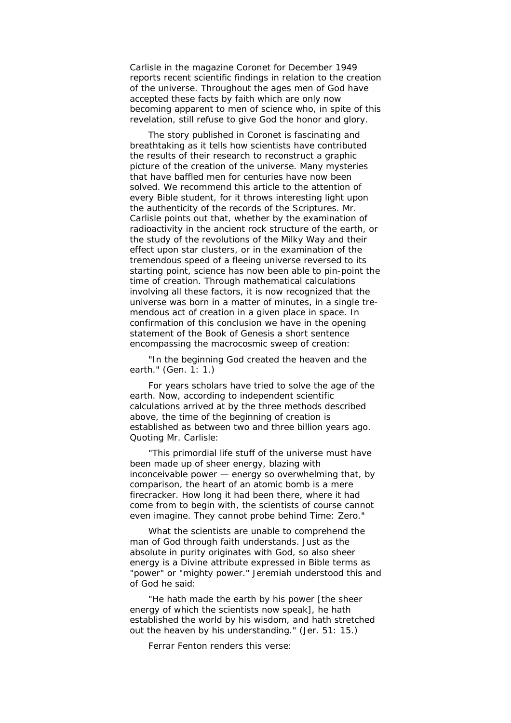Carlisle in the magazine *Coronet* for December 1949 reports recent scientific findings in relation to the creation of the universe. Throughout the ages men of God have accepted these facts by faith which are only now becoming apparent to men of science who, in spite of this revelation, still refuse to give God the honor and glory.

The story published in *Coronet is* fascinating and breathtaking as it tells how scientists have contributed the results of their research to reconstruct a graphic picture of the creation of the universe. Many mysteries that have baffled men for centuries have now been solved. We recommend this article to the attention of every Bible student, for it throws interesting light upon the authenticity of the records of the Scriptures. Mr. Carlisle points out that, whether by the examination of radioactivity in the ancient rock structure of the earth, or the study of the revolutions of the Milky Way and their effect upon star clusters, or in the examination of the tremendous speed of a fleeing universe reversed to its starting point, science has now been able to pin-point the time of creation. Through mathematical calculations involving all these factors, it is now recognized that the universe was born in a matter of minutes, in a single tremendous act of creation in a given place in space. In confirmation of this conclusion we have in the opening statement of the Book of Genesis a short sentence encompassing the macrocosmic sweep of creation:

"In the beginning God created the heaven and the earth." (Gen. 1: 1.)

For years scholars have tried to solve the age of the earth. Now, according to independent scientific calculations arrived at by the three methods described above, the time of the beginning of creation is established as between two and three billion years ago. Quoting Mr. Carlisle:

"This primordial life stuff of the universe must have been made up of sheer energy, blazing with inconceivable power — energy so overwhelming that, by comparison, the heart of an atomic bomb is a mere firecracker. How long it had been there, where it had come from to begin with, the scientists of course cannot even imagine. They cannot probe behind Time: Zero."

What the scientists are unable to comprehend the man of God through faith understands. Just as the absolute in purity originates with God, so also sheer energy is a Divine attribute expressed in Bible terms as "power" or "mighty power." Jeremiah understood this and of God he said:

"He hath made the earth by his power [the sheer energy of which the scientists now speak], he hath established the world by his wisdom, and hath stretched out the heaven by his understanding." (Jer. 51: 15.)

Ferrar Fenton renders this verse: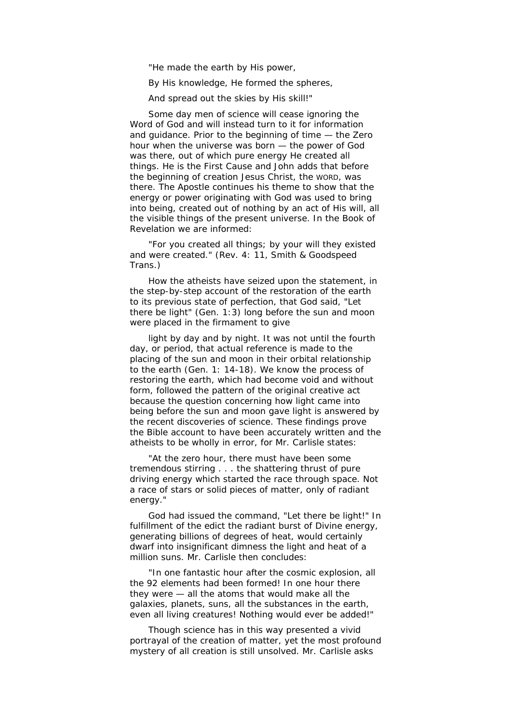"He made the earth by His power,

By His knowledge, He formed the spheres,

And spread out the skies by His skill!"

Some day men of science will cease ignoring the Word of God and will instead turn to it for information and guidance. Prior to the beginning of time — the Zero hour when the universe was born — the power of God was there, out of which pure energy He created all things. He is the First Cause and John adds that before the beginning of creation Jesus Christ, the WORD, was there. The Apostle continues his theme to show that the energy or power originating with God was used to bring into being, created out of nothing by an act of His will, all the visible things of the present universe. In the Book of Revelation we are informed:

"For you created all things; by your will they existed and were created." (Rev. 4: 11, *Smith & Goodspeed Trans*.)

How the atheists have seized upon the statement, in the step-by-step account of the restoration of the earth to its previous state of perfection, that God said, "Let there be light" (Gen. 1:3) long before the sun and moon were placed in the firmament to give

light by day and by night. It was not until the fourth day, or period, that actual reference is made to the placing of the sun and moon in their orbital relationship to the earth (Gen. 1: 14-18). We know the process of restoring the earth, which had become void and without form, followed the pattern of the original creative act because the question concerning how light came into being before the sun and moon gave light is answered by the recent discoveries of science. These findings prove the Bible account to have been accurately written and the atheists to be wholly in error, for Mr. Carlisle states:

"At the zero hour, there must have been some tremendous stirring . . . the shattering thrust of pure driving energy which started the race through space. Not a race of stars or solid pieces of matter, only of radiant energy."

God had issued the command, "Let there be light!" In fulfillment of the edict the radiant burst of Divine energy, generating billions of degrees of heat, would certainly dwarf into insignificant dimness the light and heat of a million suns. Mr. Carlisle then concludes:

"In one fantastic hour after the cosmic explosion, all the 92 elements had been formed! In one hour there they were — all the atoms that would make all the galaxies, planets, suns, all the substances in the earth, even all living creatures! Nothing would ever be added!"

Though science has in this way presented a vivid portrayal of the creation of matter, yet the most profound mystery of all creation is still unsolved. Mr. Carlisle asks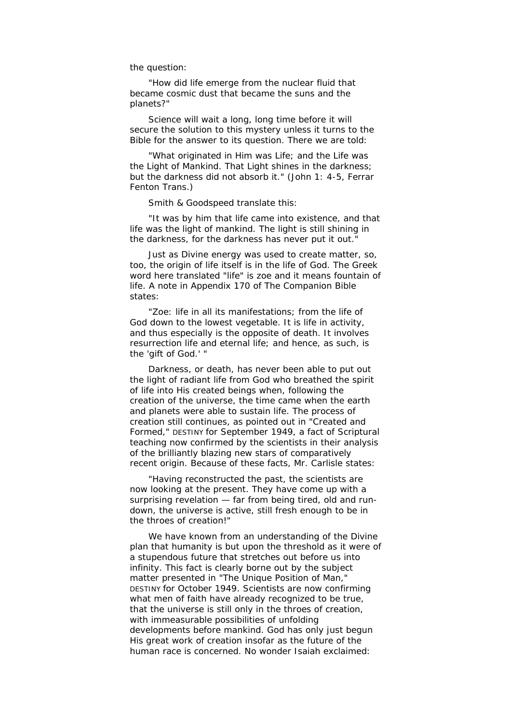the question:

"How did life emerge from the nuclear fluid that became cosmic dust that became the suns and the planets?"

Science will wait a long, long time before it will secure the solution to this mystery unless it turns to the Bible for the answer to its question. There we are told:

"What originated in Him was Life; and the Life was the Light of Mankind. That Light shines in the darkness; but the darkness did not absorb it." (John 1: 4-5, *Ferrar Fenton Trans.*)

Smith & Goodspeed translate this:

"It was by him that life came into existence, and that life was the light of mankind. The light is still shining in the darkness, for the darkness has never put it out."

Just as Divine energy was used to create matter, so, too, the origin of life itself is in the life of God. The Greek word here translated "life" is *zoe* and it means fountain of life. A note in Appendix 170 of *The Companion Bible*  states:

*"Zoe:* life in all its manifestations; from the life of God down to the lowest vegetable. It is life in activity, and thus especially is the opposite of death. It involves resurrection life and eternal life; and hence, as such, is the 'gift of God.' "

Darkness, or death, has never been able to put out the light of radiant life from God who breathed the spirit of life into His created beings when, following the creation of the universe, the time came when the earth and planets were able to sustain life. The process of creation still continues, as pointed out in "Created and Formed," DESTINY for September 1949, a fact of Scriptural teaching now confirmed by the scientists in their analysis of the brilliantly blazing new stars of comparatively recent origin. Because of these facts, Mr. Carlisle states:

"Having reconstructed the past, the scientists are now looking at the present. They have come up with a surprising revelation — far from being tired, old and rundown, the universe is active, still fresh enough to be in the throes of creation!"

We have known from an understanding of the Divine plan that humanity is but upon the threshold as it were of a stupendous future that stretches out before us into infinity. This fact is clearly borne out by the subject matter presented in "The Unique Position of Man," DESTINY for October 1949. Scientists are now confirming what men of faith have already recognized to be true, that the universe is still only in the throes of creation, with immeasurable possibilities of unfolding developments before mankind. God has only just begun His great work of creation insofar as the future of the human race is concerned. No wonder Isaiah exclaimed: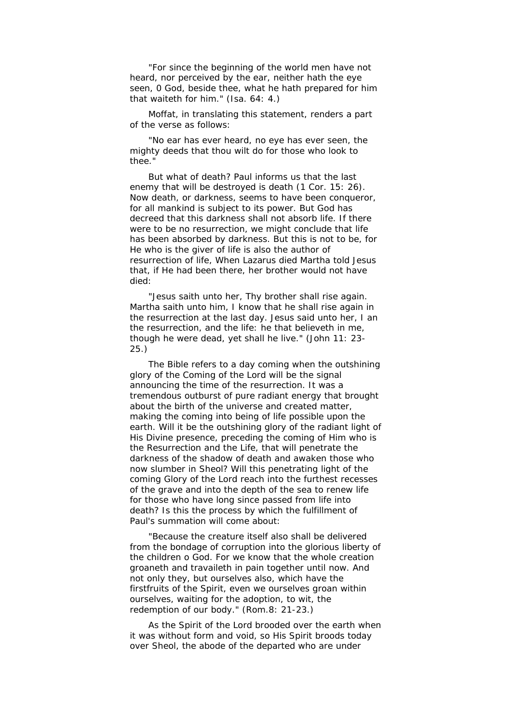"For since the beginning of the world men have not heard, nor perceived by the ear, neither hath the eye seen, 0 God, beside thee, what he hath prepared for him that waiteth for him." (Isa. 64: 4.)

Moffat, in translating this statement, renders a part of the verse as follows:

"No ear has ever heard, no eye has ever seen, the mighty deeds that thou wilt do for those who look to thee."

But what of death? Paul informs us that the last enemy that will be destroyed is death (1 Cor. 15: 26). Now death, or darkness, seems to have been conqueror, for all mankind is subject to its power. But God has decreed that this darkness shall not absorb life. If there were to be no resurrection, we might conclude that life has been absorbed by darkness. But this is not to be, for He who is the giver of life is also the author of resurrection of life, When Lazarus died Martha told Jesus that, if He had been there, her brother would not have died:

"Jesus saith unto her, Thy brother shall rise again. Martha saith unto him, I know that he shall rise again in the resurrection at the last day. Jesus said unto her, I an the resurrection, and the life: he that believeth in me, though he were dead, yet shall he live." (John 11: 23- 25.)

The Bible refers to a day coming when the outshining glory of the Coming of the Lord will be the signal announcing the time of the resurrection. It was a tremendous outburst of pure radiant energy that brought about the birth of the universe and created matter, making the coming into being of life possible upon the earth. Will it be the outshining glory of the radiant light of His Divine presence, preceding the coming of Him who is the Resurrection and the Life, that will penetrate the darkness of the shadow of death and awaken those who now slumber in Sheol? Will this penetrating light of the coming Glory of the Lord reach into the furthest recesses of the grave and into the depth of the sea to renew life for those who have long since passed from life into death? Is this the process by which the fulfillment of Paul's summation will come about:

"Because the creature itself also shall be delivered from the bondage of corruption into the glorious liberty of the children o God. For we know that the whole creation groaneth and travaileth in pain together until now. And not only they, but ourselves also, which have the firstfruits of the Spirit, even we ourselves groan within ourselves, waiting for the adoption, to wit, the redemption of our body." (Rom.8: 21-23.)

As the Spirit of the Lord brooded over the earth when it was without form and void, so His Spirit broods today over Sheol, the abode of the departed who are under